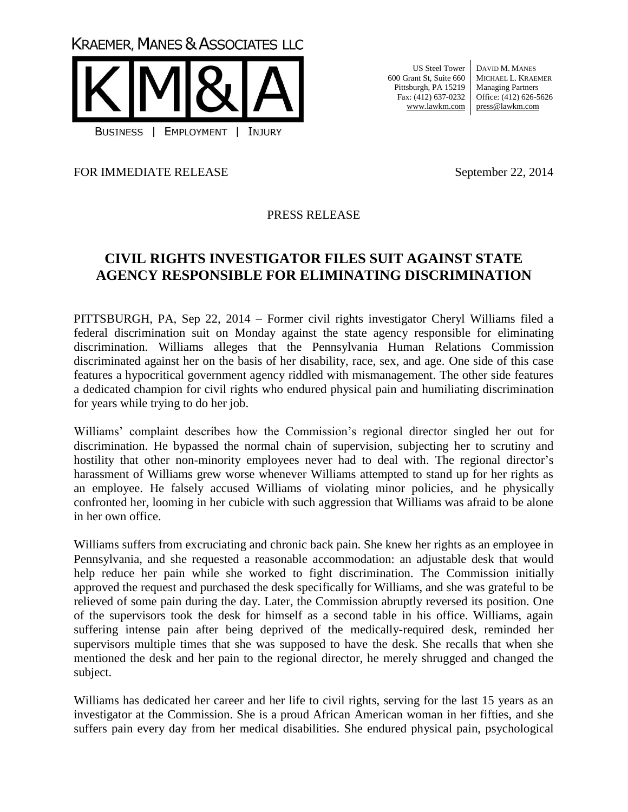**KRAEMER, MANES & ASSOCIATES LLC** 



US Steel Tower 600 Grant St, Suite 660 Pittsburgh, PA 15219 Fax: (412) 637-0232 www.lawkm.com

DAVID M. MANES MICHAEL L. KRAEMER Managing Partners Office: (412) 626-5626 press@lawkm.com

FOR IMMEDIATE RELEASE September 22, 2014

## PRESS RELEASE

## **CIVIL RIGHTS INVESTIGATOR FILES SUIT AGAINST STATE AGENCY RESPONSIBLE FOR ELIMINATING DISCRIMINATION**

PITTSBURGH, PA, Sep 22, 2014 – Former civil rights investigator Cheryl Williams filed a federal discrimination suit on Monday against the state agency responsible for eliminating discrimination. Williams alleges that the Pennsylvania Human Relations Commission discriminated against her on the basis of her disability, race, sex, and age. One side of this case features a hypocritical government agency riddled with mismanagement. The other side features a dedicated champion for civil rights who endured physical pain and humiliating discrimination for years while trying to do her job.

Williams' complaint describes how the Commission's regional director singled her out for discrimination. He bypassed the normal chain of supervision, subjecting her to scrutiny and hostility that other non-minority employees never had to deal with. The regional director's harassment of Williams grew worse whenever Williams attempted to stand up for her rights as an employee. He falsely accused Williams of violating minor policies, and he physically confronted her, looming in her cubicle with such aggression that Williams was afraid to be alone in her own office.

Williams suffers from excruciating and chronic back pain. She knew her rights as an employee in Pennsylvania, and she requested a reasonable accommodation: an adjustable desk that would help reduce her pain while she worked to fight discrimination. The Commission initially approved the request and purchased the desk specifically for Williams, and she was grateful to be relieved of some pain during the day. Later, the Commission abruptly reversed its position. One of the supervisors took the desk for himself as a second table in his office. Williams, again suffering intense pain after being deprived of the medically-required desk, reminded her supervisors multiple times that she was supposed to have the desk. She recalls that when she mentioned the desk and her pain to the regional director, he merely shrugged and changed the subject.

Williams has dedicated her career and her life to civil rights, serving for the last 15 years as an investigator at the Commission. She is a proud African American woman in her fifties, and she suffers pain every day from her medical disabilities. She endured physical pain, psychological